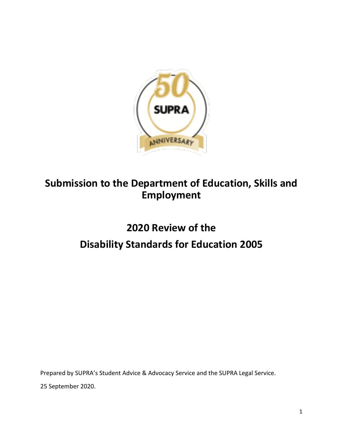

# **Submission to the Department of Education, Skills and Employment**

# **2020 Review of the Disability Standards for Education 2005**

Prepared by SUPRA's Student Advice & Advocacy Service and the SUPRA Legal Service.

25 September 2020.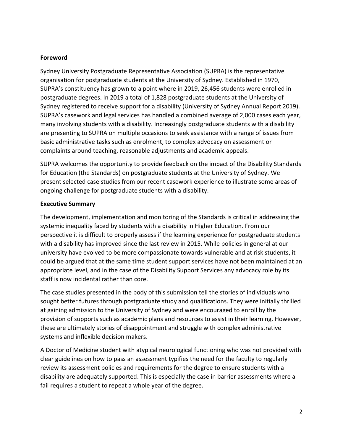#### **Foreword**

Sydney University Postgraduate Representative Association (SUPRA) is the representative organisation for postgraduate students at the University of Sydney. Established in 1970, SUPRA's constituency has grown to a point where in 2019, 26,456 students were enrolled in postgraduate degrees. In 2019 a total of 1,828 postgraduate students at the University of Sydney registered to receive support for a disability (University of Sydney Annual Report 2019). SUPRA's casework and legal services has handled a combined average of 2,000 cases each year, many involving students with a disability. Increasingly postgraduate students with a disability are presenting to SUPRA on multiple occasions to seek assistance with a range of issues from basic administrative tasks such as enrolment, to complex advocacy on assessment or complaints around teaching, reasonable adjustments and academic appeals.

SUPRA welcomes the opportunity to provide feedback on the impact of the Disability Standards for Education (the Standards) on postgraduate students at the University of Sydney. We present selected case studies from our recent casework experience to illustrate some areas of ongoing challenge for postgraduate students with a disability.

## **Executive Summary**

The development, implementation and monitoring of the Standards is critical in addressing the systemic inequality faced by students with a disability in Higher Education. From our perspective it is difficult to properly assess if the learning experience for postgraduate students with a disability has improved since the last review in 2015. While policies in general at our university have evolved to be more compassionate towards vulnerable and at risk students, it could be argued that at the same time student support services have not been maintained at an appropriate level, and in the case of the Disability Support Services any advocacy role by its staff is now incidental rather than core.

The case studies presented in the body of this submission tell the stories of individuals who sought better futures through postgraduate study and qualifications. They were initially thrilled at gaining admission to the University of Sydney and were encouraged to enroll by the provision of supports such as academic plans and resources to assist in their learning. However, these are ultimately stories of disappointment and struggle with complex administrative systems and inflexible decision makers.

A Doctor of Medicine student with atypical neurological functioning who was not provided with clear guidelines on how to pass an assessment typifies the need for the faculty to regularly review its assessment policies and requirements for the degree to ensure students with a disability are adequately supported. This is especially the case in barrier assessments where a fail requires a student to repeat a whole year of the degree.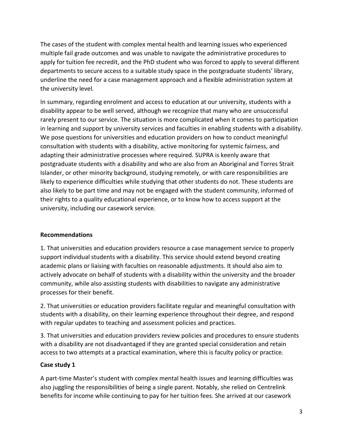The cases of the student with complex mental health and learning issues who experienced multiple fail grade outcomes and was unable to navigate the administrative procedures to apply for tuition fee recredit, and the PhD student who was forced to apply to several different departments to secure access to a suitable study space in the postgraduate students' library, underline the need for a case management approach and a flexible administration system at the university level.

In summary, regarding enrolment and access to education at our university, students with a disability appear to be well served, although we recognize that many who are unsuccessful rarely present to our service. The situation is more complicated when it comes to participation in learning and support by university services and faculties in enabling students with a disability. We pose questions for universities and education providers on how to conduct meaningful consultation with students with a disability, active monitoring for systemic fairness, and adapting their administrative processes where required. SUPRA is keenly aware that postgraduate students with a disability and who are also from an Aboriginal and Torres Strait Islander, or other minority background, studying remotely, or with care responsibilities are likely to experience difficulties while studying that other students do not. These students are also likely to be part time and may not be engaged with the student community, informed of their rights to a quality educational experience, or to know how to access support at the university, including our casework service.

## **Recommendations**

1. That universities and education providers resource a case management service to properly support individual students with a disability. This service should extend beyond creating academic plans or liaising with faculties on reasonable adjustments. It should also aim to actively advocate on behalf of students with a disability within the university and the broader community, while also assisting students with disabilities to navigate any administrative processes for their benefit.

2. That universities or education providers facilitate regular and meaningful consultation with students with a disability, on their learning experience throughout their degree, and respond with regular updates to teaching and assessment policies and practices.

3. That universities and education providers review policies and procedures to ensure students with a disability are not disadvantaged if they are granted special consideration and retain access to two attempts at a practical examination, where this is faculty policy or practice.

## **Case study 1**

A part-time Master's student with complex mental health issues and learning difficulties was also juggling the responsibilities of being a single parent. Notably, she relied on Centrelink benefits for income while continuing to pay for her tuition fees. She arrived at our casework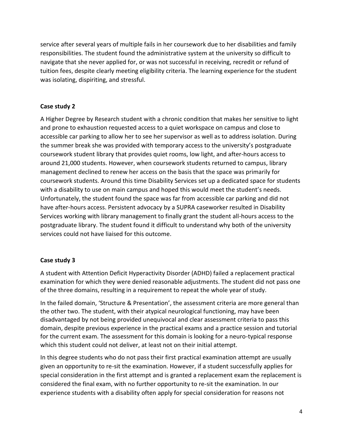service after several years of multiple fails in her coursework due to her disabilities and family responsibilities. The student found the administrative system at the university so difficult to navigate that she never applied for, or was not successful in receiving, recredit or refund of tuition fees, despite clearly meeting eligibility criteria. The learning experience for the student was isolating, dispiriting, and stressful.

## **Case study 2**

A Higher Degree by Research student with a chronic condition that makes her sensitive to light and prone to exhaustion requested access to a quiet workspace on campus and close to accessible car parking to allow her to see her supervisor as well as to address isolation. During the summer break she was provided with temporary access to the university's postgraduate coursework student library that provides quiet rooms, low light, and after-hours access to around 21,000 students. However, when coursework students returned to campus, library management declined to renew her access on the basis that the space was primarily for coursework students. Around this time Disability Services set up a dedicated space for students with a disability to use on main campus and hoped this would meet the student's needs. Unfortunately, the student found the space was far from accessible car parking and did not have after-hours access. Persistent advocacy by a SUPRA caseworker resulted in Disability Services working with library management to finally grant the student all-hours access to the postgraduate library. The student found it difficult to understand why both of the university services could not have liaised for this outcome.

## **Case study 3**

A student with Attention Deficit Hyperactivity Disorder (ADHD) failed a replacement practical examination for which they were denied reasonable adjustments. The student did not pass one of the three domains, resulting in a requirement to repeat the whole year of study.

In the failed domain, 'Structure & Presentation', the assessment criteria are more general than the other two. The student, with their atypical neurological functioning, may have been disadvantaged by not being provided unequivocal and clear assessment criteria to pass this domain, despite previous experience in the practical exams and a practice session and tutorial for the current exam. The assessment for this domain is looking for a neuro-typical response which this student could not deliver, at least not on their initial attempt.

In this degree students who do not pass their first practical examination attempt are usually given an opportunity to re-sit the examination. However, if a student successfully applies for special consideration in the first attempt and is granted a replacement exam the replacement is considered the final exam, with no further opportunity to re-sit the examination. In our experience students with a disability often apply for special consideration for reasons not